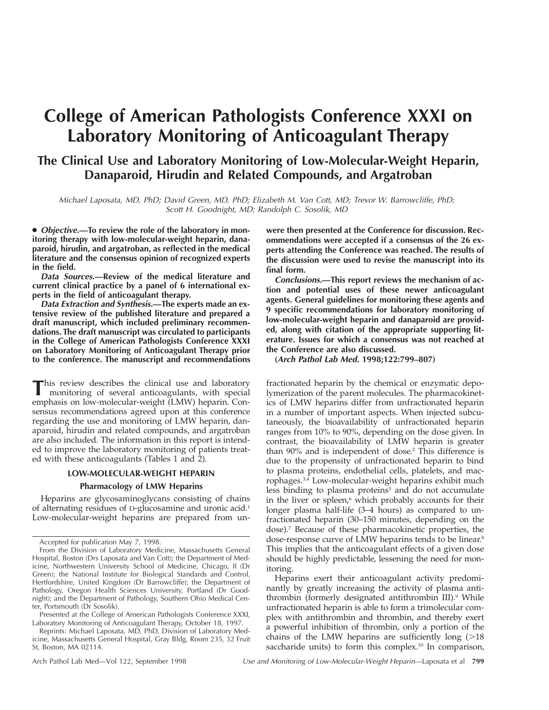# **College of American Pathologists Conference XXXI on Laboratory Monitoring of Anticoagulant Therapy**

## **The Clinical Use and Laboratory Monitoring of Low-Molecular-Weight Heparin, Danaparoid, Hirudin and Related Compounds, and Argatroban**

Michael Laposata, MD, PhD; David Green, MD, PhD; Elizabeth M. Van Cott, MD; Trevor W. Barrowcliffe, PhD; Scott H. Goodnight, MD; Randolph C. Sosolik, MD

● **Objective.—To review the role of the laboratory in monitoring therapy with low-molecular-weight heparin, danaparoid, hirudin, and argatroban, as reflected in the medical literature and the consensus opinion of recognized experts in the field.**

**Data Sources.—Review of the medical literature and current clinical practice by a panel of 6 international experts in the field of anticoagulant therapy.**

**Data Extraction and Synthesis.—The experts made an extensive review of the published literature and prepared a draft manuscript, which included preliminary recommendations. The draft manuscript was circulated to participants in the College of American Pathologists Conference XXXI on Laboratory Monitoring of Anticoagulant Therapy prior to the conference. The manuscript and recommendations**

This review describes the clinical use and laboratory monitoring of several anticoagulants, with special emphasis on low-molecular-weight (LMW) heparin. Consensus recommendations agreed upon at this conference regarding the use and monitoring of LMW heparin, danaparoid, hirudin and related compounds, and argatroban are also included. The information in this report is intended to improve the laboratory monitoring of patients treated with these anticoagulants (Tables 1 and 2).

### **LOW-MOLECULAR-WEIGHT HEPARIN Pharmacology of LMW Heparins**

Heparins are glycosaminoglycans consisting of chains of alternating residues of D-glucosamine and uronic acid.1 Low-molecular-weight heparins are prepared from un-

Presented at the College of American Pathologists Conference XXXI, Laboratory Monitoring of Anticoagulant Therapy, October 18, 1997.

Reprints: Michael Laposata, MD, PhD, Division of Laboratory Medicine, Massachusetts General Hospital, Gray Bldg, Room 235, 32 Fruit St, Boston, MA 02114.

**were then presented at the Conference for discussion. Recommendations were accepted if a consensus of the 26 experts attending the Conference was reached. The results of the discussion were used to revise the manuscript into its final form.**

**Conclusions.—This report reviews the mechanism of action and potential uses of these newer anticoagulant agents. General guidelines for monitoring these agents and 9 specific recommendations for laboratory monitoring of low-molecular-weight heparin and danaparoid are provided, along with citation of the appropriate supporting literature. Issues for which a consensus was not reached at the Conference are also discussed.**

**(Arch Pathol Lab Med. 1998;122:799–807)**

fractionated heparin by the chemical or enzymatic depolymerization of the parent molecules. The pharmacokinetics of LMW heparins differ from unfractionated heparin in a number of important aspects. When injected subcutaneously, the bioavailability of unfractionated heparin ranges from 10% to 90%, depending on the dose given. In contrast, the bioavailability of LMW heparin is greater than 90% and is independent of dose.<sup>2</sup> This difference is due to the propensity of unfractionated heparin to bind to plasma proteins, endothelial cells, platelets, and macrophages.3,4 Low-molecular-weight heparins exhibit much less binding to plasma proteins<sup>5</sup> and do not accumulate in the liver or spleen,<sup>6</sup> which probably accounts for their longer plasma half-life (3–4 hours) as compared to unfractionated heparin (30–150 minutes, depending on the dose).7 Because of these pharmacokinetic properties, the dose-response curve of LMW heparins tends to be linear.<sup>8</sup> This implies that the anticoagulant effects of a given dose should be highly predictable, lessening the need for monitoring.

Heparins exert their anticoagulant activity predominantly by greatly increasing the activity of plasma antithrombin (formerly designated antithrombin III).<sup>9</sup> While unfractionated heparin is able to form a trimolecular complex with antithrombin and thrombin, and thereby exert a powerful inhibition of thrombin, only a portion of the chains of the LMW heparins are sufficiently long  $(>18)$ saccharide units) to form this complex.<sup>10</sup> In comparison,

Accepted for publication May 7, 1998.

From the Division of Laboratory Medicine, Massachusetts General Hospital, Boston (Drs Laposata and Van Cott); the Department of Medicine, Northwestern University School of Medicine, Chicago, Il (Dr Green); the National Institute for Biological Standards and Control, Hertfordshire, United Kingdom (Dr Barrowcliffe); the Department of Pathology, Oregon Health Sciences University, Portland (Dr Goodnight); and the Department of Pathology, Southern Ohio Medical Center, Portsmouth (Dr Sosolik).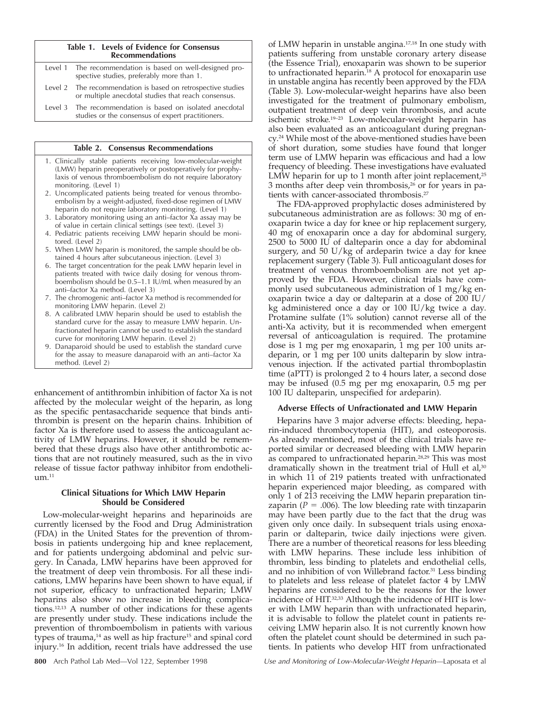#### **Table 1. Levels of Evidence for Consensus Recommendations**

| Level 1 The recommendation is based on well-designed pro-<br>spective studies, preferably more than 1.              |
|---------------------------------------------------------------------------------------------------------------------|
| Level 2 The recommendation is based on retrospective studies<br>or multiple anecdotal studies that reach consensus. |
| Level 3 The recommendation is based on isolated anecdotal<br>studies or the consensus of expert practitioners.      |

#### **Table 2. Consensus Recommendations**

- 1. Clinically stable patients receiving low-molecular-weight (LMW) heparin preoperatively or postoperatively for prophylaxis of venous thromboembolism do not require laboratory monitoring. (Level 1)
- 2. Uncomplicated patients being treated for venous thromboembolism by a weight-adjusted, fixed-dose regimen of LMW heparin do not require laboratory monitoring. (Level 1)
- 3. Laboratory monitoring using an anti–factor Xa assay may be of value in certain clinical settings (see text). (Level 3)
- 4. Pediatric patients receiving LMW heparin should be monitored. (Level 2)
- 5. When LMW heparin is monitored, the sample should be obtained 4 hours after subcutaneous injection. (Level 3)
- 6. The target concentration for the peak LMW heparin level in patients treated with twice daily dosing for venous thromboembolism should be  $0.5-1.1$  IU/mL when measured by an anti–factor Xa method. (Level 3)
- 7. The chromogenic anti–factor Xa method is recommended for monitoring LMW heparin. (Level 2)
- 8. A calibrated LMW heparin should be used to establish the standard curve for the assay to measure LMW heparin. Unfractionated heparin cannot be used to establish the standard curve for monitoring LMW heparin. (Level 2)
- 9. Danaparoid should be used to establish the standard curve for the assay to measure danaparoid with an anti–factor Xa method. (Level 2)

enhancement of antithrombin inhibition of factor Xa is not affected by the molecular weight of the heparin, as long as the specific pentasaccharide sequence that binds antithrombin is present on the heparin chains. Inhibition of factor Xa is therefore used to assess the anticoagulant activity of LMW heparins. However, it should be remembered that these drugs also have other antithrombotic actions that are not routinely measured, such as the in vivo release of tissue factor pathway inhibitor from endotheli $um.<sup>11</sup>$ 

#### **Clinical Situations for Which LMW Heparin Should be Considered**

Low-molecular-weight heparins and heparinoids are currently licensed by the Food and Drug Administration (FDA) in the United States for the prevention of thrombosis in patients undergoing hip and knee replacement, and for patients undergoing abdominal and pelvic surgery. In Canada, LMW heparins have been approved for the treatment of deep vein thrombosis. For all these indications, LMW heparins have been shown to have equal, if not superior, efficacy to unfractionated heparin; LMW heparins also show no increase in bleeding complications.12,13 A number of other indications for these agents are presently under study. These indications include the prevention of thromboembolism in patients with various types of trauma, $14$  as well as hip fracture<sup>15</sup> and spinal cord injury.16 In addition, recent trials have addressed the use

of LMW heparin in unstable angina.17,18 In one study with patients suffering from unstable coronary artery disease (the Essence Trial), enoxaparin was shown to be superior to unfractionated heparin.<sup>18</sup> A protocol for enoxaparin use in unstable angina has recently been approved by the FDA (Table 3). Low-molecular-weight heparins have also been investigated for the treatment of pulmonary embolism, outpatient treatment of deep vein thrombosis, and acute ischemic stroke.19–23 Low-molecular-weight heparin has also been evaluated as an anticoagulant during pregnancy.24 While most of the above-mentioned studies have been of short duration, some studies have found that longer term use of LMW heparin was efficacious and had a low frequency of bleeding. These investigations have evaluated LMW heparin for up to 1 month after joint replacement, $25$ 3 months after deep vein thrombosis,26 or for years in patients with cancer-associated thrombosis.<sup>27</sup>

The FDA-approved prophylactic doses administered by subcutaneous administration are as follows: 30 mg of enoxaparin twice a day for knee or hip replacement surgery, 40 mg of enoxaparin once a day for abdominal surgery, 2500 to 5000 IU of dalteparin once a day for abdominal surgery, and 50 U/kg of ardeparin twice a day for knee replacement surgery (Table 3). Full anticoagulant doses for treatment of venous thromboembolism are not yet approved by the FDA. However, clinical trials have commonly used subcutaneous administration of 1 mg/kg enoxaparin twice a day or dalteparin at a dose of 200 IU/ kg administered once a day or 100 IU/kg twice a day. Protamine sulfate (1% solution) cannot reverse all of the anti-Xa activity, but it is recommended when emergent reversal of anticoagulation is required. The protamine dose is 1 mg per mg enoxaparin, 1 mg per 100 units ardeparin, or 1 mg per 100 units dalteparin by slow intravenous injection. If the activated partial thromboplastin time (aPTT) is prolonged 2 to 4 hours later, a second dose may be infused (0.5 mg per mg enoxaparin, 0.5 mg per 100 IU dalteparin, unspecified for ardeparin).

#### **Adverse Effects of Unfractionated and LMW Heparin**

Heparins have 3 major adverse effects: bleeding, heparin-induced thrombocytopenia (HIT), and osteoporosis. As already mentioned, most of the clinical trials have reported similar or decreased bleeding with LMW heparin as compared to unfractionated heparin.28,29 This was most dramatically shown in the treatment trial of Hull et al, $30$ in which 11 of 219 patients treated with unfractionated heparin experienced major bleeding, as compared with only 1 of 213 receiving the LMW heparin preparation tinzaparin ( $P = .006$ ). The low bleeding rate with tinzaparin may have been partly due to the fact that the drug was given only once daily. In subsequent trials using enoxaparin or dalteparin, twice daily injections were given. There are a number of theoretical reasons for less bleeding with LMW heparins. These include less inhibition of thrombin, less binding to platelets and endothelial cells, and no inhibition of von Willebrand factor.<sup>31</sup> Less binding to platelets and less release of platelet factor 4 by LMW heparins are considered to be the reasons for the lower incidence of HIT.32,33 Although the incidence of HIT is lower with LMW heparin than with unfractionated heparin, it is advisable to follow the platelet count in patients receiving LMW heparin also. It is not currently known how often the platelet count should be determined in such patients. In patients who develop HIT from unfractionated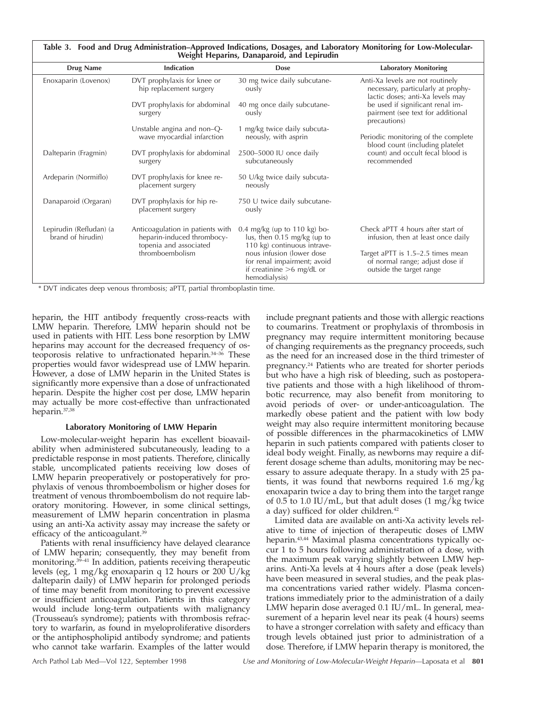| <b>Drug Name</b>                             | Indication                                                                               | <b>Dose</b>                                                                                              | <b>Laboratory Monitoring</b>                                                                               |
|----------------------------------------------|------------------------------------------------------------------------------------------|----------------------------------------------------------------------------------------------------------|------------------------------------------------------------------------------------------------------------|
| Enoxaparin (Lovenox)                         | DVT prophylaxis for knee or<br>hip replacement surgery                                   | 30 mg twice daily subcutane-<br>ously                                                                    | Anti-Xa levels are not routinely<br>necessary, particularly at prophy-<br>lactic doses; anti-Xa levels may |
|                                              | DVT prophylaxis for abdominal<br>surgery                                                 | 40 mg once daily subcutane-<br>ously                                                                     | be used if significant renal im-<br>pairment (see text for additional<br>precautions)                      |
|                                              | Unstable angina and non-Q-<br>wave myocardial infarction                                 | 1 mg/kg twice daily subcuta-<br>neously, with asprin                                                     | Periodic monitoring of the complete<br>blood count (including platelet                                     |
| Dalteparin (Fragmin)                         | DVT prophylaxis for abdominal<br>surgery                                                 | 2500-5000 IU once daily<br>subcutaneously                                                                | count) and occult fecal blood is<br>recommended                                                            |
| Ardeparin (Normiflo)                         | DVT prophylaxis for knee re-<br>placement surgery                                        | 50 U/kg twice daily subcuta-<br>neously                                                                  |                                                                                                            |
| Danaparoid (Orgaran)                         | DVT prophylaxis for hip re-<br>placement surgery                                         | 750 U twice daily subcutane-<br>ously                                                                    |                                                                                                            |
| Lepirudin (Refludan) (a<br>brand of hirudin) | Anticoagulation in patients with<br>heparin-induced thrombocy-<br>topenia and associated | $0.4 \text{ mg/kg}$ (up to 110 kg) bo-<br>lus, then 0.15 mg/kg (up to<br>110 kg) continuous intrave-     | Check aPTT 4 hours after start of<br>infusion, then at least once daily                                    |
|                                              | thromboembolism                                                                          | nous infusion (lower dose<br>for renal impairment; avoid<br>if creatinine $>6$ mg/dL or<br>hemodialysis) | Target aPTT is 1.5-2.5 times mean<br>of normal range; adjust dose if<br>outside the target range           |

\* DVT indicates deep venous thrombosis; aPTT, partial thromboplastin time.

heparin, the HIT antibody frequently cross-reacts with LMW heparin. Therefore, LMW heparin should not be used in patients with HIT. Less bone resorption by LMW heparins may account for the decreased frequency of osteoporosis relative to unfractionated heparin.34–36 These properties would favor widespread use of LMW heparin. However, a dose of LMW heparin in the United States is significantly more expensive than a dose of unfractionated heparin. Despite the higher cost per dose, LMW heparin may actually be more cost-effective than unfractionated heparin.37,38

#### **Laboratory Monitoring of LMW Heparin**

Low-molecular-weight heparin has excellent bioavailability when administered subcutaneously, leading to a predictable response in most patients. Therefore, clinically stable, uncomplicated patients receiving low doses of LMW heparin preoperatively or postoperatively for prophylaxis of venous thromboembolism or higher doses for treatment of venous thromboembolism do not require laboratory monitoring. However, in some clinical settings, measurement of LMW heparin concentration in plasma using an anti-Xa activity assay may increase the safety or efficacy of the anticoagulant.<sup>39</sup>

Patients with renal insufficiency have delayed clearance of LMW heparin; consequently, they may benefit from monitoring.39–41 In addition, patients receiving therapeutic levels (eg, 1 mg/kg enoxaparin q 12 hours or 200 U/kg dalteparin daily) of LMW heparin for prolonged periods of time may benefit from monitoring to prevent excessive or insufficient anticoagulation. Patients in this category would include long-term outpatients with malignancy (Trousseau's syndrome); patients with thrombosis refractory to warfarin, as found in myeloproliferative disorders or the antiphospholipid antibody syndrome; and patients who cannot take warfarin. Examples of the latter would

include pregnant patients and those with allergic reactions to coumarins. Treatment or prophylaxis of thrombosis in pregnancy may require intermittent monitoring because of changing requirements as the pregnancy proceeds, such as the need for an increased dose in the third trimester of pregnancy.24 Patients who are treated for shorter periods but who have a high risk of bleeding, such as postoperative patients and those with a high likelihood of thrombotic recurrence, may also benefit from monitoring to avoid periods of over- or under-anticoagulation. The markedly obese patient and the patient with low body weight may also require intermittent monitoring because of possible differences in the pharmacokinetics of LMW heparin in such patients compared with patients closer to ideal body weight. Finally, as newborns may require a different dosage scheme than adults, monitoring may be necessary to assure adequate therapy. In a study with 25 patients, it was found that newborns required 1.6 mg/kg enoxaparin twice a day to bring them into the target range of 0.5 to 1.0 IU/mL, but that adult doses  $(1 \text{ mg/kg})$  twice a day) sufficed for older children.42

Limited data are available on anti-Xa activity levels relative to time of injection of therapeutic doses of LMW heparin.43,44 Maximal plasma concentrations typically occur 1 to 5 hours following administration of a dose, with the maximum peak varying slightly between LMW heparins. Anti-Xa levels at 4 hours after a dose (peak levels) have been measured in several studies, and the peak plasma concentrations varied rather widely. Plasma concentrations immediately prior to the administration of a daily LMW heparin dose averaged 0.1 IU/mL. In general, measurement of a heparin level near its peak (4 hours) seems to have a stronger correlation with safety and efficacy than trough levels obtained just prior to administration of a dose. Therefore, if LMW heparin therapy is monitored, the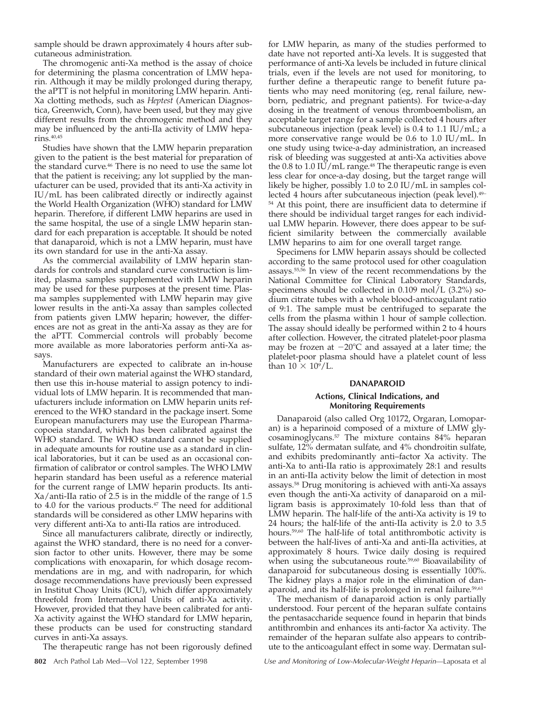sample should be drawn approximately 4 hours after subcutaneous administration.

The chromogenic anti-Xa method is the assay of choice for determining the plasma concentration of LMW heparin. Although it may be mildly prolonged during therapy, the aPTT is not helpful in monitoring LMW heparin. Anti-Xa clotting methods, such as *Heptest* (American Diagnostica, Greenwich, Conn), have been used, but they may give different results from the chromogenic method and they may be influenced by the anti-IIa activity of LMW heparins.40,45

Studies have shown that the LMW heparin preparation given to the patient is the best material for preparation of the standard curve.46 There is no need to use the same lot that the patient is receiving; any lot supplied by the manufacturer can be used, provided that its anti-Xa activity in IU/mL has been calibrated directly or indirectly against the World Health Organization (WHO) standard for LMW heparin. Therefore, if different LMW heparins are used in the same hospital, the use of a single LMW heparin standard for each preparation is acceptable. It should be noted that danaparoid, which is not a LMW heparin, must have its own standard for use in the anti-Xa assay.

As the commercial availability of LMW heparin standards for controls and standard curve construction is limited, plasma samples supplemented with LMW heparin may be used for these purposes at the present time. Plasma samples supplemented with LMW heparin may give lower results in the anti-Xa assay than samples collected from patients given LMW heparin; however, the differences are not as great in the anti-Xa assay as they are for the aPTT. Commercial controls will probably become more available as more laboratories perform anti-Xa assays.

Manufacturers are expected to calibrate an in-house standard of their own material against the WHO standard, then use this in-house material to assign potency to individual lots of LMW heparin. It is recommended that manufacturers include information on LMW heparin units referenced to the WHO standard in the package insert. Some European manufacturers may use the European Pharmacopoeia standard, which has been calibrated against the WHO standard. The WHO standard cannot be supplied in adequate amounts for routine use as a standard in clinical laboratories, but it can be used as an occasional confirmation of calibrator or control samples. The WHO LMW heparin standard has been useful as a reference material for the current range of LMW heparin products. Its anti-Xa/anti-IIa ratio of 2.5 is in the middle of the range of 1.5 to 4.0 for the various products.<sup>47</sup> The need for additional standards will be considered as other LMW heparins with very different anti-Xa to anti-IIa ratios are introduced.

Since all manufacturers calibrate, directly or indirectly, against the WHO standard, there is no need for a conversion factor to other units. However, there may be some complications with enoxaparin, for which dosage recommendations are in mg, and with nadroparin, for which dosage recommendations have previously been expressed in Institut Choay Units (ICU), which differ approximately threefold from International Units of anti-Xa activity. However, provided that they have been calibrated for anti-Xa activity against the WHO standard for LMW heparin, these products can be used for constructing standard curves in anti-Xa assays.

The therapeutic range has not been rigorously defined

for LMW heparin, as many of the studies performed to date have not reported anti-Xa levels. It is suggested that performance of anti-Xa levels be included in future clinical trials, even if the levels are not used for monitoring, to further define a therapeutic range to benefit future patients who may need monitoring (eg, renal failure, newborn, pediatric, and pregnant patients). For twice-a-day dosing in the treatment of venous thromboembolism, an acceptable target range for a sample collected 4 hours after subcutaneous injection (peak level) is 0.4 to 1.1 IU/mL; a more conservative range would be 0.6 to 1.0 IU/mL. In one study using twice-a-day administration, an increased risk of bleeding was suggested at anti-Xa activities above the 0.8 to 1.0 IU/mL range.<sup>48</sup> The therapeutic range is even less clear for once-a-day dosing, but the target range will likely be higher, possibly 1.0 to 2.0 IU/mL in samples collected 4 hours after subcutaneous injection (peak level).<sup>49–</sup> <sup>54</sup> At this point, there are insufficient data to determine if there should be individual target ranges for each individual LMW heparin. However, there does appear to be sufficient similarity between the commercially available LMW heparins to aim for one overall target range.

Specimens for LMW heparin assays should be collected according to the same protocol used for other coagulation assays.55,56 In view of the recent recommendations by the National Committee for Clinical Laboratory Standards, specimens should be collected in 0.109 mol/L (3.2%) sodium citrate tubes with a whole blood-anticoagulant ratio of 9:1. The sample must be centrifuged to separate the cells from the plasma within 1 hour of sample collection. The assay should ideally be performed within 2 to 4 hours after collection. However, the citrated platelet-poor plasma may be frozen at  $-20^{\circ}$ C and assayed at a later time; the platelet-poor plasma should have a platelet count of less than  $10 \times 10^9$ /L.

#### **DANAPAROID**

#### **Actions, Clinical Indications, and Monitoring Requirements**

Danaparoid (also called Org 10172, Orgaran, Lomoparan) is a heparinoid composed of a mixture of LMW glycosaminoglycans.57 The mixture contains 84% heparan sulfate, 12% dermatan sulfate, and 4% chondroitin sulfate, and exhibits predominantly anti–factor Xa activity. The anti-Xa to anti-IIa ratio is approximately 28:1 and results in an anti-IIa activity below the limit of detection in most assays.58 Drug monitoring is achieved with anti-Xa assays even though the anti-Xa activity of danaparoid on a milligram basis is approximately 10-fold less than that of LMW heparin. The half-life of the anti-Xa activity is 19 to 24 hours; the half-life of the anti-IIa activity is 2.0 to 3.5 hours.59,60 The half-life of total antithrombotic activity is between the half-lives of anti-Xa and anti-IIa activities, at approximately 8 hours. Twice daily dosing is required when using the subcutaneous route.59,60 Bioavailability of danaparoid for subcutaneous dosing is essentially 100%. The kidney plays a major role in the elimination of danaparoid, and its half-life is prolonged in renal failure.<sup>59,61</sup>

The mechanism of danaparoid action is only partially understood. Four percent of the heparan sulfate contains the pentasaccharide sequence found in heparin that binds antithrombin and enhances its anti-factor Xa activity. The remainder of the heparan sulfate also appears to contribute to the anticoagulant effect in some way. Dermatan sul-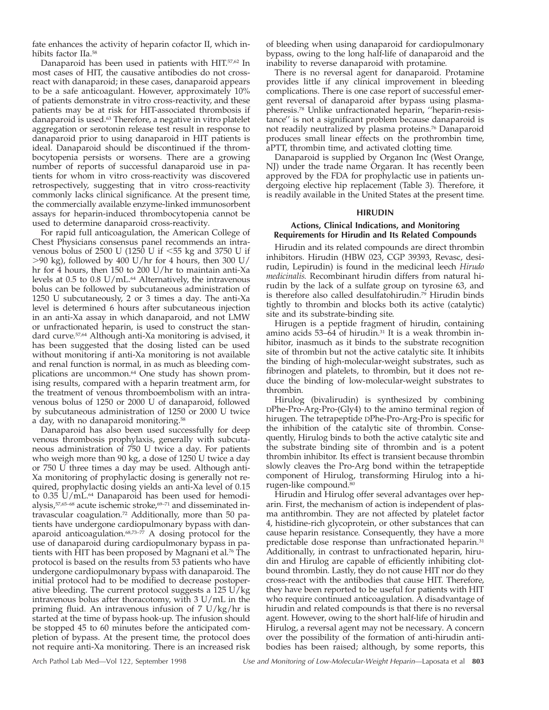fate enhances the activity of heparin cofactor II, which inhibits factor IIa.58

Danaparoid has been used in patients with HIT.57,62 In most cases of HIT, the causative antibodies do not crossreact with danaparoid; in these cases, danaparoid appears to be a safe anticoagulant. However, approximately 10% of patients demonstrate in vitro cross-reactivity, and these patients may be at risk for HIT-associated thrombosis if danaparoid is used.63 Therefore, a negative in vitro platelet aggregation or serotonin release test result in response to danaparoid prior to using danaparoid in HIT patients is ideal. Danaparoid should be discontinued if the thrombocytopenia persists or worsens. There are a growing number of reports of successful danaparoid use in patients for whom in vitro cross-reactivity was discovered retrospectively, suggesting that in vitro cross-reactivity commonly lacks clinical significance. At the present time, the commercially available enzyme-linked immunosorbent assays for heparin-induced thrombocytopenia cannot be used to determine danaparoid cross-reactivity.

For rapid full anticoagulation, the American College of Chest Physicians consensus panel recommends an intravenous bolus of 2500 U (1250 U if  $<$  55 kg and 3750 U if .90 kg), followed by 400 U/hr for 4 hours, then 300 U/ hr for 4 hours, then 150 to 200 U/hr to maintain anti-Xa levels at 0.5 to 0.8 U/mL.<sup>64</sup> Alternatively, the intravenous bolus can be followed by subcutaneous administration of 1250 U subcutaneously, 2 or 3 times a day. The anti-Xa level is determined 6 hours after subcutaneous injection in an anti-Xa assay in which danaparoid, and not LMW or unfractionated heparin, is used to construct the standard curve.57,64 Although anti-Xa monitoring is advised, it has been suggested that the dosing listed can be used without monitoring if anti-Xa monitoring is not available and renal function is normal, in as much as bleeding complications are uncommon.<sup>64</sup> One study has shown promising results, compared with a heparin treatment arm, for the treatment of venous thromboembolism with an intravenous bolus of 1250 or 2000 U of danaparoid, followed by subcutaneous administration of 1250 or 2000 U twice a day, with no danaparoid monitoring.58

Danaparoid has also been used successfully for deep venous thrombosis prophylaxis, generally with subcutaneous administration of 750 U twice a day. For patients who weigh more than 90 kg, a dose of 1250 U twice a day or 750 U three times a day may be used. Although anti-Xa monitoring of prophylactic dosing is generally not required, prophylactic dosing yields an anti-Xa level of 0.15 to 0.35 U/mL.<sup>64</sup> Danaparoid has been used for hemodialysis,<sup>57,65–68</sup> acute ischemic stroke,<sup>69–71</sup> and disseminated intravascular coagulation.72 Additionally, more than 50 patients have undergone cardiopulmonary bypass with danaparoid anticoagulation.68,73–77 A dosing protocol for the use of danaparoid during cardiopulmonary bypass in patients with HIT has been proposed by Magnani et al.<sup>76</sup> The protocol is based on the results from 53 patients who have undergone cardiopulmonary bypass with danaparoid. The initial protocol had to be modified to decrease postoperative bleeding. The current protocol suggests a  $125 \text{ U/kg}$ intravenous bolus after thoracotomy, with 3 U/mL in the priming fluid. An intravenous infusion of 7 U/kg/hr is started at the time of bypass hook-up. The infusion should be stopped 45 to 60 minutes before the anticipated completion of bypass. At the present time, the protocol does not require anti-Xa monitoring. There is an increased risk of bleeding when using danaparoid for cardiopulmonary bypass, owing to the long half-life of danaparoid and the inability to reverse danaparoid with protamine.

There is no reversal agent for danaparoid. Protamine provides little if any clinical improvement in bleeding complications. There is one case report of successful emergent reversal of danaparoid after bypass using plasmapheresis.78 Unlike unfractionated heparin, ''heparin-resistance'' is not a significant problem because danaparoid is not readily neutralized by plasma proteins.76 Danaparoid produces small linear effects on the prothrombin time, aPTT, thrombin time, and activated clotting time.

Danaparoid is supplied by Organon Inc (West Orange, NJ) under the trade name Orgaran. It has recently been approved by the FDA for prophylactic use in patients undergoing elective hip replacement (Table 3). Therefore, it is readily available in the United States at the present time.

#### **HIRUDIN**

#### **Actions, Clinical Indications, and Monitoring Requirements for Hirudin and Its Related Compounds**

Hirudin and its related compounds are direct thrombin inhibitors. Hirudin (HBW 023, CGP 39393, Revasc, desirudin, Lepirudin) is found in the medicinal leech *Hirudo medicinalis.* Recombinant hirudin differs from natural hirudin by the lack of a sulfate group on tyrosine 63, and is therefore also called desulfatohirudin.79 Hirudin binds tightly to thrombin and blocks both its active (catalytic) site and its substrate-binding site.

Hirugen is a peptide fragment of hirudin, containing amino acids  $53-64$  of hirudin.<sup>31</sup> It is a weak thrombin inhibitor, inasmuch as it binds to the substrate recognition site of thrombin but not the active catalytic site. It inhibits the binding of high-molecular-weight substrates, such as fibrinogen and platelets, to thrombin, but it does not reduce the binding of low-molecular-weight substrates to thrombin.

Hirulog (bivalirudin) is synthesized by combining DPhe-Pro-Arg-Pro-(Gly4) to the amino terminal region of hirugen. The tetrapeptide DPhe-Pro-Arg-Pro is specific for the inhibition of the catalytic site of thrombin. Consequently, Hirulog binds to both the active catalytic site and the substrate binding site of thrombin and is a potent thrombin inhibitor. Its effect is transient because thrombin slowly cleaves the Pro-Arg bond within the tetrapeptide component of Hirulog, transforming Hirulog into a hirugen-like compound.80

Hirudin and Hirulog offer several advantages over heparin. First, the mechanism of action is independent of plasma antithrombin. They are not affected by platelet factor 4, histidine-rich glycoprotein, or other substances that can cause heparin resistance. Consequently, they have a more predictable dose response than unfractionated heparin.<sup>31</sup> Additionally, in contrast to unfractionated heparin, hirudin and Hirulog are capable of efficiently inhibiting clotbound thrombin. Lastly, they do not cause HIT nor do they cross-react with the antibodies that cause HIT. Therefore, they have been reported to be useful for patients with HIT who require continued anticoagulation. A disadvantage of hirudin and related compounds is that there is no reversal agent. However, owing to the short half-life of hirudin and Hirulog, a reversal agent may not be necessary. A concern over the possibility of the formation of anti-hirudin antibodies has been raised; although, by some reports, this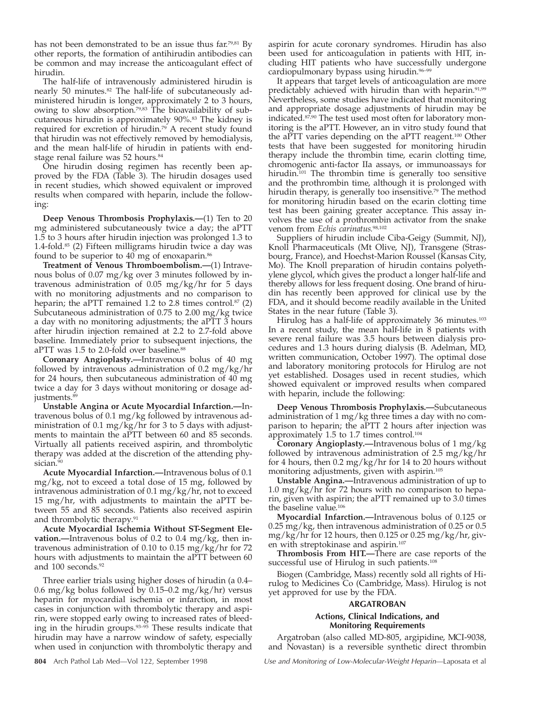has not been demonstrated to be an issue thus far.<sup>79,81</sup> By other reports, the formation of antihirudin antibodies can be common and may increase the anticoagulant effect of hirudin.

The half-life of intravenously administered hirudin is nearly 50 minutes.<sup>82</sup> The half-life of subcutaneously administered hirudin is longer, approximately 2 to 3 hours, owing to slow absorption.79,83 The bioavailability of subcutaneous hirudin is approximately 90%.83 The kidney is required for excretion of hirudin.79 A recent study found that hirudin was not effectively removed by hemodialysis, and the mean half-life of hirudin in patients with endstage renal failure was 52 hours.<sup>84</sup>

One hirudin dosing regimen has recently been approved by the FDA (Table 3). The hirudin dosages used in recent studies, which showed equivalent or improved results when compared with heparin, include the following:

**Deep Venous Thrombosis Prophylaxis.—**(1) Ten to 20 mg administered subcutaneously twice a day; the aPTT 1.5 to 3 hours after hirudin injection was prolonged 1.3 to 1.4-fold. $85$  (2) Fifteen milligrams hirudin twice a day was found to be superior to 40 mg of enoxaparin.<sup>86</sup>

**Treatment of Venous Thromboembolism.—**(1) Intravenous bolus of 0.07 mg/kg over 3 minutes followed by intravenous administration of 0.05 mg/kg/hr for 5 days with no monitoring adjustments and no comparison to heparin; the aPTT remained 1.2 to 2.8 times control. $57$  (2) Subcutaneous administration of 0.75 to 2.00 mg/kg twice a day with no monitoring adjustments; the aPTT 3 hours after hirudin injection remained at 2.2 to 2.7-fold above baseline. Immediately prior to subsequent injections, the aPTT was 1.5 to 2.0-fold over baseline.<sup>88</sup>

**Coronary Angioplasty.—**Intravenous bolus of 40 mg followed by intravenous administration of 0.2 mg/kg/hr for 24 hours, then subcutaneous administration of 40 mg twice a day for 3 days without monitoring or dosage adjustments.<sup>8</sup>

**Unstable Angina or Acute Myocardial Infarction.—**Intravenous bolus of 0.1 mg/kg followed by intravenous administration of 0.1 mg/kg/hr for 3 to 5 days with adjustments to maintain the aPTT between 60 and 85 seconds. Virtually all patients received aspirin, and thrombolytic therapy was added at the discretion of the attending physician.<sup>90</sup>

**Acute Myocardial Infarction.—**Intravenous bolus of 0.1 mg/kg, not to exceed a total dose of 15 mg, followed by intravenous administration of 0.1 mg/kg/hr, not to exceed 15 mg/hr, with adjustments to maintain the aPTT between 55 and 85 seconds. Patients also received aspirin and thrombolytic therapy.<sup>91</sup>

**Acute Myocardial Ischemia Without ST-Segment Elevation.—**Intravenous bolus of 0.2 to 0.4 mg/kg, then intravenous administration of 0.10 to 0.15 mg/kg/hr for 72 hours with adjustments to maintain the aPTT between 60 and 100 seconds.<sup>92</sup>

Three earlier trials using higher doses of hirudin (a 0.4– 0.6 mg/kg bolus followed by 0.15–0.2 mg/kg/hr) versus heparin for myocardial ischemia or infarction, in most cases in conjunction with thrombolytic therapy and aspirin, were stopped early owing to increased rates of bleeding in the hirudin groups.<sup>93-95</sup> These results indicate that hirudin may have a narrow window of safety, especially when used in conjunction with thrombolytic therapy and

aspirin for acute coronary syndromes. Hirudin has also been used for anticoagulation in patients with HIT, including HIT patients who have successfully undergone cardiopulmonary bypass using hirudin.<sup>96-99</sup>

It appears that target levels of anticoagulation are more predictably achieved with hirudin than with heparin.<sup>91,99</sup> Nevertheless, some studies have indicated that monitoring and appropriate dosage adjustments of hirudin may be indicated.<sup>87,90</sup> The test used most often for laboratory monitoring is the aPTT. However, an in vitro study found that the aPTT varies depending on the aPTT reagent.100 Other tests that have been suggested for monitoring hirudin therapy include the thrombin time, ecarin clotting time, chromogenic anti-factor IIa assays, or immunoassays for hirudin.<sup>101</sup> The thrombin time is generally too sensitive and the prothrombin time, although it is prolonged with hirudin therapy, is generally too insensitive.<sup>79</sup> The method for monitoring hirudin based on the ecarin clotting time test has been gaining greater acceptance. This assay involves the use of a prothrombin activator from the snake venom from *Echis carinatus.*98,102

Suppliers of hirudin include Ciba-Geigy (Summit, NJ), Knoll Pharmaceuticals (Mt Olive, NJ), Transgene (Strasbourg, France), and Hoechst-Marion Roussel (Kansas City, Mo). The Knoll preparation of hirudin contains polyethylene glycol, which gives the product a longer half-life and thereby allows for less frequent dosing. One brand of hirudin has recently been approved for clinical use by the FDA, and it should become readily available in the United States in the near future (Table 3).

Hirulog has a half-life of approximately 36 minutes.<sup>103</sup> In a recent study, the mean half-life in 8 patients with severe renal failure was 3.5 hours between dialysis procedures and 1.3 hours during dialysis (B. Adelman, MD, written communication, October 1997). The optimal dose and laboratory monitoring protocols for Hirulog are not yet established. Dosages used in recent studies, which showed equivalent or improved results when compared with heparin, include the following:

**Deep Venous Thrombosis Prophylaxis.—**Subcutaneous administration of 1 mg/kg three times a day with no comparison to heparin; the aPTT 2 hours after injection was approximately 1.5 to 1.7 times control.104

**Coronary Angioplasty.—**Intravenous bolus of 1 mg/kg followed by intravenous administration of 2.5 mg/kg/hr for 4 hours, then 0.2 mg/kg/hr for 14 to 20 hours without monitoring adjustments, given with aspirin.105

**Unstable Angina.—**Intravenous administration of up to 1.0 mg/kg/hr for 72 hours with no comparison to heparin, given with aspirin; the aPTT remained up to 3.0 times the baseline value.106

**Myocardial Infarction.—**Intravenous bolus of 0.125 or 0.25 mg/kg, then intravenous administration of 0.25 or 0.5 mg/kg/hr for 12 hours, then 0.125 or 0.25 mg/kg/hr, given with streptokinase and aspirin.107

**Thrombosis From HIT.—**There are case reports of the successful use of Hirulog in such patients.<sup>108</sup>

Biogen (Cambridge, Mass) recently sold all rights of Hirulog to Medicines Co (Cambridge, Mass). Hirulog is not yet approved for use by the FDA.

#### **ARGATROBAN**

#### **Actions, Clinical Indications, and Monitoring Requirements**

Argatroban (also called MD-805, argipidine, MCI-9038, and Novastan) is a reversible synthetic direct thrombin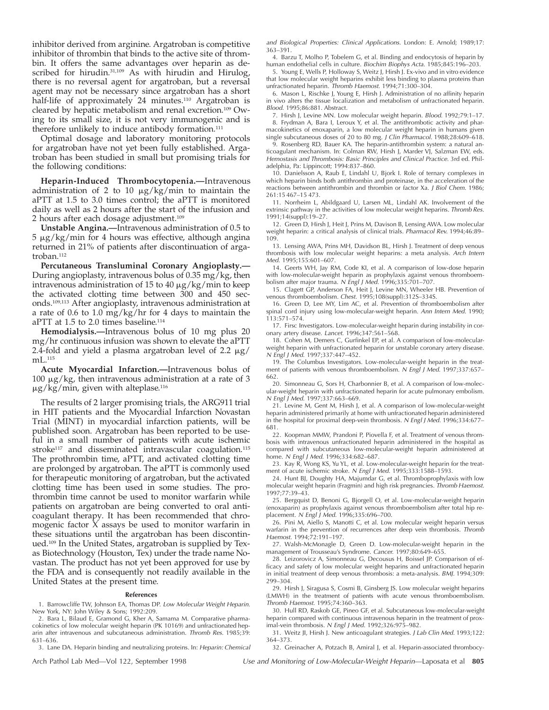inhibitor derived from arginine. Argatroban is competitive inhibitor of thrombin that binds to the active site of thrombin. It offers the same advantages over heparin as described for hirudin.<sup>31,109</sup> As with hirudin and Hirulog, there is no reversal agent for argatroban, but a reversal agent may not be necessary since argatroban has a short half-life of approximately 24 minutes.<sup>110</sup> Argatroban is cleared by hepatic metabolism and renal excretion.109 Owing to its small size, it is not very immunogenic and is therefore unlikely to induce antibody formation.<sup>111</sup>

Optimal dosage and laboratory monitoring protocols for argatroban have not yet been fully established. Argatroban has been studied in small but promising trials for the following conditions:

**Heparin-Induced Thrombocytopenia.—**Intravenous administration of 2 to 10  $\mu$ g/kg/min to maintain the aPTT at 1.5 to 3.0 times control; the aPTT is monitored daily as well as 2 hours after the start of the infusion and 2 hours after each dosage adjustment.109

**Unstable Angina.—**Intravenous administration of 0.5 to  $5 \mu$ g/kg/min for 4 hours was effective, although angina returned in 21% of patients after discontinuation of argatroban.<sup>112</sup>

**Percutaneous Transluminal Coronary Angioplasty.—** During angioplasty, intravenous bolus of  $0.35$  mg/kg, then intravenous administration of 15 to 40  $\mu$ g/kg/min to keep the activated clotting time between 300 and 450 seconds.109,113 After angioplasty, intravenous administration at a rate of 0.6 to 1.0 mg/kg/hr for 4 days to maintain the aPTT at 1.5 to 2.0 times baseline.<sup>114</sup>

**Hemodialysis.—**Intravenous bolus of 10 mg plus 20 mg/hr continuous infusion was shown to elevate the aPTT 2.4-fold and yield a plasma argatroban level of 2.2  $\mu$ g/  $mL^{115}$ 

**Acute Myocardial Infarction.—**Intravenous bolus of 100  $\mu$ g/kg, then intravenous administration at a rate of 3  $\mu$ g/kg/min, given with alteplase.<sup>116</sup>

The results of 2 larger promising trials, the ARG911 trial in HIT patients and the Myocardial Infarction Novastan Trial (MINT) in myocardial infarction patients, will be published soon. Argatroban has been reported to be useful in a small number of patients with acute ischemic stroke<sup>117</sup> and disseminated intravascular coagulation.<sup>115</sup> The prothrombin time, aPTT, and activated clotting time are prolonged by argatroban. The aPTT is commonly used for therapeutic monitoring of argatroban, but the activated clotting time has been used in some studies. The prothrombin time cannot be used to monitor warfarin while patients on argatroban are being converted to oral anticoagulant therapy. It has been recommended that chromogenic factor X assays be used to monitor warfarin in these situations until the argatroban has been discontinued.109 In the United States, argatroban is supplied by Texas Biotechnology (Houston, Tex) under the trade name Novastan. The product has not yet been approved for use by the FDA and is consequently not readily available in the United States at the present time.

#### **References**

1. Barrowcliffe TW, Johnson EA, Thomas DP. Low Molecular Weight Heparin. New York, NY: John Wiley & Sons; 1992:209.

2. Bara L, Bilaud E, Gramond G, Kher A, Samama M. Comparative pharmacokinetics of low molecular weight heparin (PK 10169) and unfractionated heparin after intravenous and subcutaneous administration. Thromb Res. 1985;39: 631–636.

3. Lane DA. Heparin binding and neutralizing proteins. In: Heparin: Chemical

and Biological Properties: Clinical Applications. London: E. Arnold; 1989;17: 363–391.

4. Barzu T, Molho P, Tobelem G, et al. Binding and endocytosis of heparin by human endothelial cells in culture. Biochim Biophys Acta. 1985;845:196-203.

5. Young E, Wells P, Holloway S, Weitz J, Hirsh J. Ex-vivo and in vitro evidence that low molecular weight heparins exhibit less binding to plasma proteins than unfractionated heparin. Thromb Haemost. 1994;71:300–304.

6. Mason L, Rischke J, Young E, Hirsh J. Administration of no affinity heparin in vivo alters the tissue localization and metabolism of unfractionated heparin. Blood. 1995;86:881. Abstract.

7. Hirsh J, Levine MN. Low molecular weight heparin. Blood. 1992;79:1-17. 8. Frydman A, Bara I, Leroux Y, et al. The antithrombotic activity and pharmacokinetics of enoxaparin, a low molecular weight heparin in humans given single subcutaneous doses of 20 to 80 mg. J Clin Pharmacol. 1988;28:609–618.

9. Rosenberg RD, Bauer KA. The heparin-antithrombin system: a natural anticoagulant mechanism. In: Colman RW, Hirsh J, Marder VJ, Salzman EW, eds. Hemostasis and Thrombosis: Basic Principles and Clinical Practice. 3rd ed. Philadelphia, Pa: Lippincott; 1994:837–860.

10. Danielsson A, Raub E, Lindahl U, Bjork I. Role of ternary complexes in which heparin binds both antithrombin and proteinase, in the acceleration of the reactions between antithrombin and thrombin or factor Xa. J Biol Chem. 1986; 261:15 467–15 473.

11. Norrheim L, Abildgaard U, Larsen ML, Lindahl AK. Involvement of the extrinsic pathway in the activities of low molecular weight heparins. Thromb Res. 1991;14(suppl):19–27.

12. Green D, Hirsh J, Heit J, Prins M, Davison B, Lensing AWA. Low molecular weight heparin: a critical analysis of clinical trials. Pharmacol Rev. 1994;46:89-109.

13. Lensing AWA, Prins MH, Davidson BL, Hirsh J. Treatment of deep venous thrombosis with low molecular weight heparins: a meta analysis. Arch Intern Med. 1995;155:601–607.

14. Geerts WH, Jay RM, Code KI, et al. A comparison of low-dose heparin with low-molecular-weight heparin as prophylaxis against venous thromboembolism after major trauma. N Engl J Med. 1996;335:701-707.

15. Clagett GP, Anderson FA, Heit J, Levine MN, Wheeler HB. Prevention of venous thromboembolism. Chest. 1995;108(suppl):312S–334S.

16. Green D, Lee MY, Lim AC, et al. Prevention of thromboembolism after spinal cord injury using low-molecular-weight heparin. Ann Intern Med. 1990; 113:571–574.

17. Firsc Investigators. Low-molecular-weight heparin during instability in coronary artery disease. Lancet. 1996;347:561–568.

18. Cohen M, Demers C, Gurfinkel EP, et al. A comparison of low-molecularweight heparin with unfractionated heparin for unstable coronary artery disease. <sup>N</sup> Engl J Med. 1997;337:447–452.

19. The Columbus Investigators. Low-molecular-weight heparin in the treatment of patients with venous thromboembolism. N Engl J Med. 1997;337:657-662.

20. Simonneau G, Sors H, Charbonnier B, et al. A comparison of low-molecular-weight heparin with unfractionated heparin for acute pulmonary embolism. <sup>N</sup> Engl J Med. 1997;337:663–669.

21. Levine M, Gent M, Hirsh J, et al. A comparison of low-molecular-weight heparin administered primarily at home with unfractionated heparin administered in the hospital for proximal deep-vein thrombosis. <sup>N</sup> Engl J Med. 1996;334:677– 681.

22. Koopman MMW, Prandoni P, Piovella F, et al. Treatment of venous thrombosis with intravenous unfractionated heparin administered in the hospital as compared with subcutaneous low-molecular-weight heparin administered at home. N Engl J Med. 1996;334:682-687.

23. Kay R, Wong KS, Yu YL, et al. Low-molecular-weight heparin for the treatment of acute ischemic stroke. <sup>N</sup> Engl J Med. 1995;333:1588–1593.

24. Hunt BJ, Doughty HA, Majumdar G, et al. Thromboprophylaxis with low molecular weight heparin (Fragmin) and high risk pregnancies. Thromb Haemost. 1997;77:39–43.

25. Bergquist D, Benoni G, Bjorgell O, et al. Low-molecular-weight heparin (enoxaparin) as prophylaxis against venous thromboembolism after total hip replacement. <sup>N</sup> Engl J Med. 1996;335:696–700.

26. Pini M, Aiello S, Manotti C, et al. Low molecular weight heparin versus warfarin in the prevention of recurrences after deep vein thrombosis. Thromb Haemost. 1994;72:191–197.

27. Walsh-McMonagle D, Green D. Low-molecular-weight heparin in the management of Trousseau's Syndrome. Cancer. 1997;80:649–655.

28. Leizorovicz A, Simonneau G, Decousus H, Boissel JP. Comparison of efficacy and safety of low molecular weight heparins and unfractionated heparin in initial treatment of deep venous thrombosis: a meta-analysis. BMJ. 1994;309: 299–304.

29. Hirsh J, Siragusa S, Cosmi B, Ginsberg JS. Low molecular weight heparins (LMWH) in the treatment of patients with acute venous thromboembolism. Thromb Haemost. 1995;74:360–363.

30. Hull RD, Raskob GE, Pineo GF, et al. Subcutaneous low-molecular-weight heparin compared with continuous intravenous heparin in the treatment of proximal-vein thrombosis. <sup>N</sup> Engl J Med. 1992;326:975–982.

31. Weitz JI, Hirsh J. New anticoagulant strategies. J Lab Clin Med. 1993;122: 364–373.

32. Greinacher A, Potzach B, Amiral J, et al. Heparin-associated thrombocy-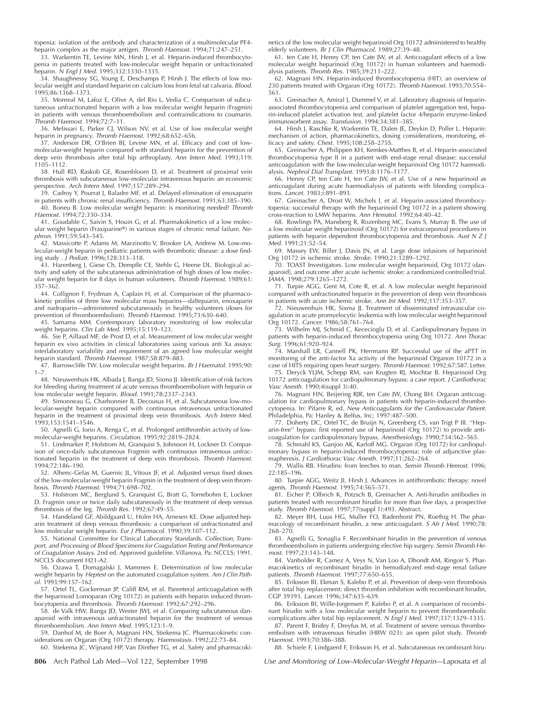topenia: isolation of the antibody and characterization of a multimolecular PF4 heparin complex as the major antigen. Thromb Haemost. 1994;71:247–251.

33. Warkentin TE, Levine MN, Hirsh J, et al. Heparin-induced thrombocytopenia in patients treated with low-molecular weight heparin or unfractionated heparin. <sup>N</sup> Engl J Med. 1995;332:1330–1335.

34. Shaughnessy SG, Young E, Deschamps P, Hirsh J. The effects of low molecular weight and standard heparin on calcium loss from fetal rat calvaria. Blood. 1995;86:1368–1373.

35. Monreal M, Lafoz E, Olive A, del Rio L, Vedia C. Comparison of subcutaneous unfractionated heparin with a low molecular weight heparin (Fragmin) in patients with venous thromboembolism and contraindications to coumarin. Thromb Haemost. 1994;72:7–11.

36. Melissari E, Parker CJ, Wilson NV, et al. Use of low molecular weight heparin in pregnancy. Thromb Haemost. 1992;68:652–656.

37. Anderson DR, O'Brien BJ, Levine MN, et al. Efficacy and cost of lowmolecular-weight heparin compared with standard heparin for the prevention of deep vein thrombosis after total hip arthroplasty. Ann Intern Med. 1993;119: 1105–1112.

38. Hull RD, Raskob GE, Rosenbloom D, et al. Treatment of proximal vein thrombosis with subcutaneous low-molecular intravenous heparin: an economic perspective. Arch Intern Med. 1997;157:289–294.

39. Cadroy Y, Pourrat J, Baladre MF, et al. Delayed elimination of enoxaparin in patients with chronic renal insufficiency. Thromb Haemost. 1991;63:385–390. 40. Boneu B. Low molecular weight heparin: is monitoring needed? Thromb Haemost. 1994;72:330–334.

41. Goudable C, Saivin S, Houin G, et al. Pharmakokinetics of a low molecular weight heparin (Fraxiparine®) in various stages of chronic renal failure. Nephron. 1991;59:543–545.

42. Massicotte P, Adams M, Marzinotto V, Brooker LA, Andrew M. Low-molecular-weight heparin in pediatric patients with thrombotic disease: a dose finding study . J Pediatr. 1996;128:313–318.

43. Harenberg J, Giese Ch, Dempfle CE, Stehle G, Heene DL. Biological activity and safety of the subcutaneous administration of high doses of low molecular weight heparin for 8 days in human volunteers. Thromb Haemost. 1989;61: 357–362.

44. Collignon F, Frydman A, Caplain H, et al. Comparison of the pharmacokinetic profiles of three low molecular mass heparins—daltepaarin, enoxaparin and nadroparin—administered subcutaneously in healthy volunteers (doses for prevention of thromboembolism). Thromb Haemost. 1995;73:630-640.

45. Samama MM. Contemporary laboratory monitoring of low molecular weight heparins. Clin Lab Med. 1995;15:119-123.

46. Sie P, Aillaud MF, de Prost D, et al. Measurement of low molecular weight heparin ex vivo activities in clinical laboratories using various anti Xa assays: interlaboratory variability and requirement of an agreed low molecular weight heparin standard. Thromb Haemost. 1987:58:879-883.

47. Barrowcliffe TW. Low molecular weight heparins. Br J Haematol. 1995;90:  $1 - 7$ .

48. Nieuwenhuis HK, Albada J, Banga JD, Sixma JJ. Identification of risk factors for bleeding during treatment of acute venous thromboembolism with heparin or low molecular weight heparin. Blood. 1991;78:2337–2343.

49. Simonneau G, Charbonnier B, Decousus H, et al. Subcutaneous low-molecular-weight heparin compared with continuous intravenous unfractionated heparin in the treatment of proximal deep vein thrombosis. Arch Intern Med. 1993;153:1541–1546.

50. Agnelli G, Iorio A, Renga C, et al. Prolonged antithrombin activity of lowmolecular-weight heparins. Circulation. 1995;92:2819–2824.

51. Lindmarker P, Holstrom M, Granquist S, Johnsson H, Lockner D. Comparison of once-daily subcutaneous Fragmin with continuous intravenous unfractionated heparin in the treatment of deep vein thrombosis. Thromb Haemost. 1994;72:186–190.

52. Alhenc-Gelas M, Guernic JL, Vitoux JF, et al. Adjusted versus fixed doses of the low-molecular-weight heparin Fragmin in the treatment of deep vein thrombosis. Thromb Haemost. 1994;71:698–702.

53. Holstrom MC, Berglund S, Granquist G, Bratt G, Tornebohm E, Lockner D. Fragmin once or twice daily subcutaneously in the treatment of deep venous thrombosis of the leg. Thromb Res. 1992;67:49–55.

54. Handeland GF, Abildgaard U, Holm HA, Arnesen KE. Dose adjusted heparin treatment of deep venous thrombosis: a comparison of unfractionated and low molecular weight heparin. Eur J Pharmacol. 1990;39:107–112.

55. National Committee for Clinical Laboratory Standards. Collection, Transport, and Processing of Blood Specimens for Coagulation Testing and Performance of Coagulation Assays. 2nd ed. Approved guideline. Villanova, Pa: NCCLS; 1991. NCCLS document H21-A2.

56. Ozawa T, Domagalski J, Mammen E. Determination of low molecular weight heparin by Heptest on the automated coagulation system. Am J Clin Pathol. 1993;99:157–162.

57. Ortel TL, Gockerman JP, Califf RM, et al. Parenteral anticoagulation with the heparinoid Lomoparan (Org 10172) in patients with heparin induced thrombocytopenia and thrombosis. Thromb Haemost. 1992;67:292–296.

58. de Valk HW, Banga JD, Wester JWJ, et al. Comparing subcutaneous danaparoid with intravenous unfractionated heparin for the treatment of venous thromboembolism. Ann Intern Med. 1995;123:1–9.

59. Danhof M, de Boer A, Magnani HN, Stiekema JC. Pharmacokinetic considerations on Orgaran (Org 10172) therapy. Haemostasis. 1992;22:73–84.

60. Stiekema JC, Wijnand HP, Van Dinther TG, et al. Safety and pharmacoki-

netics of the low molecular weight heparinoid Org 10172 administered to healthy elderly volunteers. Br J Clin Pharmacol. 1989;27:39-48.

61. ten Cate H, Henny CP, ten Cate JW, et al. Anticoagulant effects of a low molecular weight heparinoid (Org 10172) in human volunteers and haemodi-alysis patients. Thromb Res. 1985;39:211–222.

62. Magnani HN. Heparin-induced thrombocytopenia (HIT): an overview of 230 patients treated with Orgaran (Org 10172). Thromb Haemost. 1993;70:554– 561.

63. Greinacher A, Amiral J, Dummel V, et al. Laboratory diagnosis of heparinassociated thrombocytopenia and comparison of platelet aggregation test, heparin-induced platelet activation test, and platelet factor 4/heparin enzyme-linked immunosorbent assay. Transfusion. 1994;34:381–385.

64. Hirsh J, Raschke R, Warkentin TE, Dalen JE, Deykin D, Poller L. Heparin: mechanism of action, pharmacokinetics, dosing considerations, monitoring, efficacy and safety. Chest. 1995;108:258–275S.

65. Greinacher A, Philippen KH, Kemkes-Matthes B, et al. Heparin-associated thrombocytopenia type II in a patient with end-stage renal disease: successful anticoagulation with the low-molecular-weight heparinoid Org 10172 haemodialysis. Nephrol Dial Transplant. 1993;8:1176–1177.

66. Henny CP, ten Cate H, ten Cate JW, et al. Use of a new heparinoid as anticoagulant during acute haemodialysis of patients with bleeding complications. Lancet. 1983;i:891–893.

67. Greinacher A, Drost W, Michels I, et al. Heparin-associated thrombocytopenia: successful therapy with the heparinoid Org 10172 in a patient showing cross-reaction to LMW heparins. Ann Hematol. 1992;64:40–42.

68. Rowlings PA, Mansberg R, Rozenberg MC, Evans S, Murray B. The use of a low molecular weight heparinoid (Org 10172) for extracorporeal procedures in patients with heparin dependent thrombocytopenia and thrombosis. Aust N Z J Med. 1991;21:52–54.

69. Massey EW, Biller J, Davis JN, et al. Large dose infusions of heparinoid Org 10172 in ischemic stroke. Stroke. 1990;21:1289–1292.

70. TOAST Investigators. Low molecular weight heparinoid, Org 10172 (danaparoid), and outcome after acute ischemic stroke: a randomized controlled trial. JAMA. 1998;279:1265–1272.

71. Turpie AGG, Gent M, Cote R, et al. A low molecular weight heparinoid compared with unfractionated heparin in the prevention of deep vein thrombosis in patients with acute ischemic stroke. Ann Int Med. 1992;117:353–357.

72. Nieuwenhuis HK, Sixma JJ. Treatment of disseminated intravascular coagulation in acute promyelocytic leukemia with low molecular weight heparinoid

Org 10172. Cancer. 1986;58:761–764. 73. Wilhelm MJ, Schmid C, Kececioglu D, et al. Cardiopulmonary bypass in patients with heparin-induced thrombocytopenia using Org 10172. Ann Thorac Surg. 1996;61:920–924.

74. Marshall LR, Cannell PK, Herrmann RP. Successful use of the aPTT in monitoring of the anti-factor Xa activity of the heparinoid Organon 10172 in a

case of HITS requiring open heart surgery. *Thromb Haemost.* 1992;67:587. Letter.<br>75. Deryck YLJM, Schepp RM, van Krugten RJ, Mochtar B. Heparinoid Org 10172 anticoagulation for cardiopulmonary bypass: a case report. J Cardiothorac Vasc Anesth. 1990;4(suppl 3):40.

76. Magnani HN, Beijering RJR, ten Cate JW, Chong BH. Orgaran anticoagulation for cardiopulmonary bypass in patients with heparin-induced thrombocytopenia. In: Pifarre R, ed. New Anticoagulants for the Cardiovascular Patient. Philadelphia, Pa: Hanley & Belfus, Inc; 1997:487–500.

77. Doherty DC, Ortel TC, de Bruijn N, Greenberg CS, van Trigt P III. ''Heparin-free'' bypass: first reported use of heparinoid (Org 10172) to provide anticoagulation for cardiopulmonary bypass. Anesthesiology. 1990;734:562–565.

78. Schmahl KS, Ganjoo AK, Karloff MG. Orgaran (Org 10172) for cardiopulmonary bypass in heparin-induced thrombocytopenia: role of adjunctive plasmapheresis. J Cardiothorac Vasc Anesth. 1997;11:262–264.

79. Wallis RB. Hirudins: from leeches to man. Semin Thromb Hemost. 1996; 22:185–196.

80. Turpie AGG, Weitz JI, Hirsh J. Advances in antithrombotic therapy: novel agents. Thromb Haemost. 1995;74:565–571.

81. Eicher P, Olbrich K, Potzsch B, Greinacher A. Anti-hirudin antibodies in patients treated with recombinant hirudin for more than five days, a prospective study. Thromb Haemost. 1997;77(suppl 1):493. Abstract.

82. Meyer BH, Luus HG, Muller FO, Badenhorst PN, Roethig H. The pharmacology of recombinant hirudin, a new anticoagulant. S Afr J Med. 1990;78: 268–270.

83. Agnelli G, Sonaglia F. Recombinant hirudin in the prevention of venous thromboembolism in patients undergoing elective hip surgery. Semin Thromb Hemost. 1997;23:143–148.

84. Vanholder R, Camez A, Veys N, Van Loo A, Dhondt AM, Ringoir S. Pharmacokinetics of recombinant hirudin in hemodialyzed end-stage renal failure patients. Thromb Haemost. 1997;77:650–655.

85. Eriksson BI, Ekman S, Kalebo P, et al. Prevention of deep-vein thrombosis after total hip replacement: direct thrombin inhibition with recombinant hirudin, CGP 39393. Lancet. 1996;347:635–639.

86. Eriksson BI, Wille-Jorgensen P, Kalebo P, et al. A comparison of recombinant hirudin with a low molecular weight heparin to prevent thromboembolic complications after total hip replacement. <sup>N</sup> Engl J Med. 1997;337:1329–1335.

87. Parent F, Bridey F, Dreyfus M, et al. Treatment of severe venous thromboembolism with intravenous hirudin (HBW 023): an open pilot study. Thromb Haemost. 1993;70:386–388.

88. Schiele F, Lindgaerd F, Eriksson H, et al. Subcutaneous recombinant hiru-